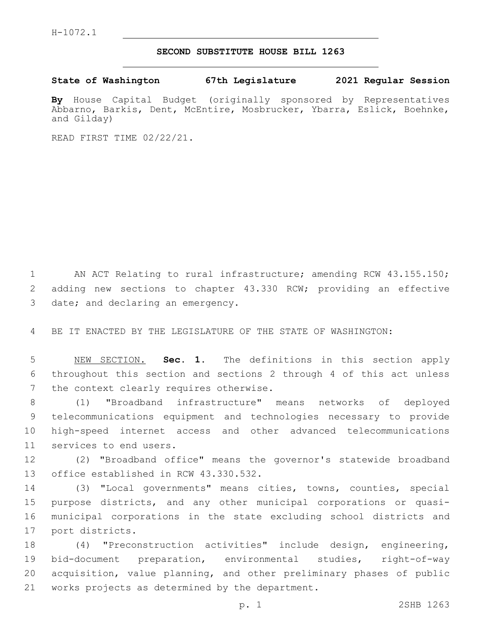## **SECOND SUBSTITUTE HOUSE BILL 1263**

**State of Washington 67th Legislature 2021 Regular Session**

**By** House Capital Budget (originally sponsored by Representatives Abbarno, Barkis, Dent, McEntire, Mosbrucker, Ybarra, Eslick, Boehnke, and Gilday)

READ FIRST TIME 02/22/21.

1 AN ACT Relating to rural infrastructure; amending RCW 43.155.150; 2 adding new sections to chapter 43.330 RCW; providing an effective 3 date; and declaring an emergency.

4 BE IT ENACTED BY THE LEGISLATURE OF THE STATE OF WASHINGTON:

5 NEW SECTION. **Sec. 1.** The definitions in this section apply 6 throughout this section and sections 2 through 4 of this act unless 7 the context clearly requires otherwise.

 (1) "Broadband infrastructure" means networks of deployed telecommunications equipment and technologies necessary to provide high-speed internet access and other advanced telecommunications 11 services to end users.

12 (2) "Broadband office" means the governor's statewide broadband 13 office established in RCW 43.330.532.

 (3) "Local governments" means cities, towns, counties, special purpose districts, and any other municipal corporations or quasi- municipal corporations in the state excluding school districts and 17 port districts.

 (4) "Preconstruction activities" include design, engineering, bid-document preparation, environmental studies, right-of-way acquisition, value planning, and other preliminary phases of public 21 works projects as determined by the department.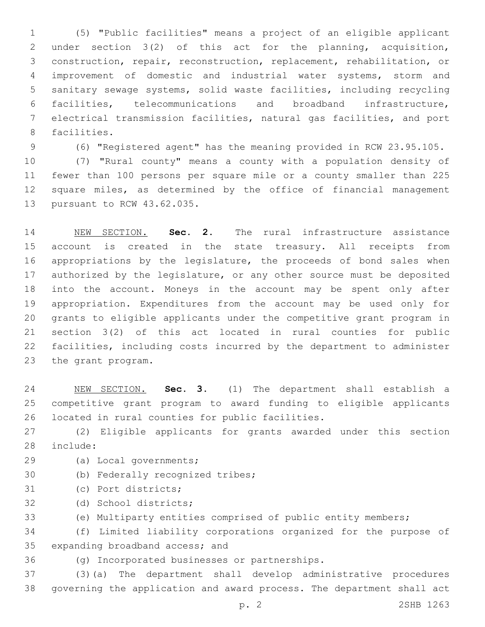(5) "Public facilities" means a project of an eligible applicant under section 3(2) of this act for the planning, acquisition, construction, repair, reconstruction, replacement, rehabilitation, or improvement of domestic and industrial water systems, storm and sanitary sewage systems, solid waste facilities, including recycling facilities, telecommunications and broadband infrastructure, electrical transmission facilities, natural gas facilities, and port 8 facilities.

(6) "Registered agent" has the meaning provided in RCW 23.95.105.

 (7) "Rural county" means a county with a population density of fewer than 100 persons per square mile or a county smaller than 225 square miles, as determined by the office of financial management 13 pursuant to RCW 43.62.035.

 NEW SECTION. **Sec. 2.** The rural infrastructure assistance account is created in the state treasury. All receipts from appropriations by the legislature, the proceeds of bond sales when 17 authorized by the legislature, or any other source must be deposited into the account. Moneys in the account may be spent only after appropriation. Expenditures from the account may be used only for grants to eligible applicants under the competitive grant program in section 3(2) of this act located in rural counties for public facilities, including costs incurred by the department to administer the grant program.

 NEW SECTION. **Sec. 3.** (1) The department shall establish a competitive grant program to award funding to eligible applicants located in rural counties for public facilities.

 (2) Eligible applicants for grants awarded under this section 28 include:

- 29 (a) Local governments;
- 30 (b) Federally recognized tribes;
- 31 (c) Port districts;
- 32 (d) School districts;

(e) Multiparty entities comprised of public entity members;

 (f) Limited liability corporations organized for the purpose of 35 expanding broadband access; and

(g) Incorporated businesses or partnerships.36

 (3)(a) The department shall develop administrative procedures governing the application and award process. The department shall act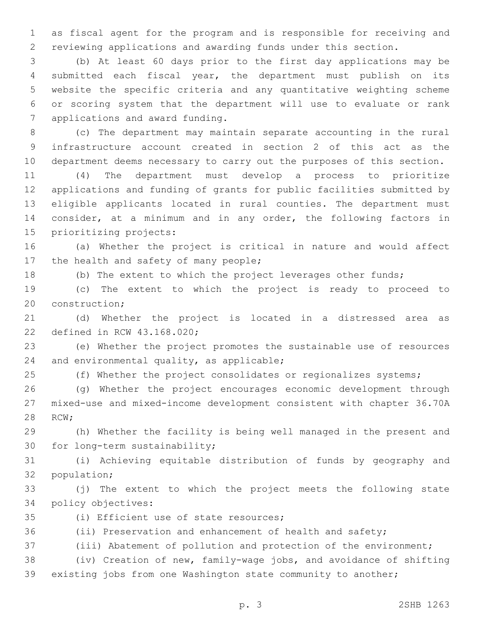as fiscal agent for the program and is responsible for receiving and reviewing applications and awarding funds under this section.

 (b) At least 60 days prior to the first day applications may be submitted each fiscal year, the department must publish on its website the specific criteria and any quantitative weighting scheme or scoring system that the department will use to evaluate or rank 7 applications and award funding.

 (c) The department may maintain separate accounting in the rural infrastructure account created in section 2 of this act as the department deems necessary to carry out the purposes of this section.

 (4) The department must develop a process to prioritize applications and funding of grants for public facilities submitted by eligible applicants located in rural counties. The department must consider, at a minimum and in any order, the following factors in 15 prioritizing projects:

 (a) Whether the project is critical in nature and would affect 17 the health and safety of many people;

(b) The extent to which the project leverages other funds;

 (c) The extent to which the project is ready to proceed to 20 construction;

 (d) Whether the project is located in a distressed area as 22 defined in RCW 43.168.020;

 (e) Whether the project promotes the sustainable use of resources 24 and environmental quality, as applicable;

(f) Whether the project consolidates or regionalizes systems;

 (g) Whether the project encourages economic development through mixed-use and mixed-income development consistent with chapter 36.70A 28 RCW;

 (h) Whether the facility is being well managed in the present and 30 for long-term sustainability;

 (i) Achieving equitable distribution of funds by geography and 32 population;

 (j) The extent to which the project meets the following state 34 policy objectives:

35 (i) Efficient use of state resources;

(ii) Preservation and enhancement of health and safety;

(iii) Abatement of pollution and protection of the environment;

 (iv) Creation of new, family-wage jobs, and avoidance of shifting existing jobs from one Washington state community to another;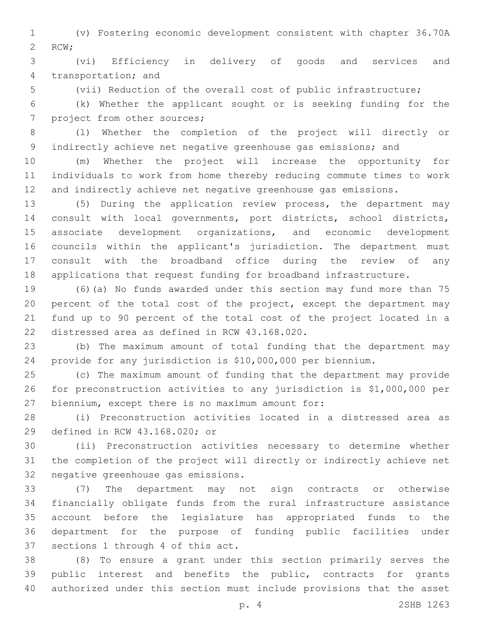(v) Fostering economic development consistent with chapter 36.70A 2 RCW;

 (vi) Efficiency in delivery of goods and services and 4 transportation; and

(vii) Reduction of the overall cost of public infrastructure;

 (k) Whether the applicant sought or is seeking funding for the 7 project from other sources;

 (l) Whether the completion of the project will directly or indirectly achieve net negative greenhouse gas emissions; and

 (m) Whether the project will increase the opportunity for individuals to work from home thereby reducing commute times to work and indirectly achieve net negative greenhouse gas emissions.

 (5) During the application review process, the department may consult with local governments, port districts, school districts, associate development organizations, and economic development councils within the applicant's jurisdiction. The department must consult with the broadband office during the review of any applications that request funding for broadband infrastructure.

 (6)(a) No funds awarded under this section may fund more than 75 percent of the total cost of the project, except the department may fund up to 90 percent of the total cost of the project located in a 22 distressed area as defined in RCW 43.168.020.

 (b) The maximum amount of total funding that the department may provide for any jurisdiction is \$10,000,000 per biennium.

 (c) The maximum amount of funding that the department may provide for preconstruction activities to any jurisdiction is \$1,000,000 per 27 biennium, except there is no maximum amount for:

 (i) Preconstruction activities located in a distressed area as 29 defined in RCW 43.168.020; or

 (ii) Preconstruction activities necessary to determine whether the completion of the project will directly or indirectly achieve net 32 negative greenhouse gas emissions.

 (7) The department may not sign contracts or otherwise financially obligate funds from the rural infrastructure assistance account before the legislature has appropriated funds to the department for the purpose of funding public facilities under 37 sections 1 through 4 of this act.

 (8) To ensure a grant under this section primarily serves the public interest and benefits the public, contracts for grants authorized under this section must include provisions that the asset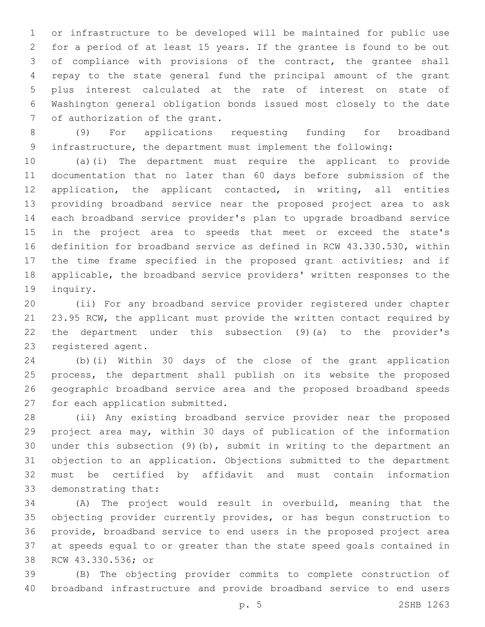or infrastructure to be developed will be maintained for public use for a period of at least 15 years. If the grantee is found to be out of compliance with provisions of the contract, the grantee shall repay to the state general fund the principal amount of the grant plus interest calculated at the rate of interest on state of Washington general obligation bonds issued most closely to the date 7 of authorization of the grant.

 (9) For applications requesting funding for broadband infrastructure, the department must implement the following:

 (a)(i) The department must require the applicant to provide documentation that no later than 60 days before submission of the application, the applicant contacted, in writing, all entities providing broadband service near the proposed project area to ask each broadband service provider's plan to upgrade broadband service in the project area to speeds that meet or exceed the state's definition for broadband service as defined in RCW 43.330.530, within the time frame specified in the proposed grant activities; and if applicable, the broadband service providers' written responses to the 19 inquiry.

 (ii) For any broadband service provider registered under chapter 21 23.95 RCW, the applicant must provide the written contact required by the department under this subsection (9)(a) to the provider's 23 registered agent.

 (b)(i) Within 30 days of the close of the grant application process, the department shall publish on its website the proposed geographic broadband service area and the proposed broadband speeds 27 for each application submitted.

 (ii) Any existing broadband service provider near the proposed project area may, within 30 days of publication of the information under this subsection (9)(b), submit in writing to the department an objection to an application. Objections submitted to the department must be certified by affidavit and must contain information 33 demonstrating that:

 (A) The project would result in overbuild, meaning that the objecting provider currently provides, or has begun construction to provide, broadband service to end users in the proposed project area at speeds equal to or greater than the state speed goals contained in 38 RCW 43.330.536; or

 (B) The objecting provider commits to complete construction of broadband infrastructure and provide broadband service to end users

p. 5 2SHB 1263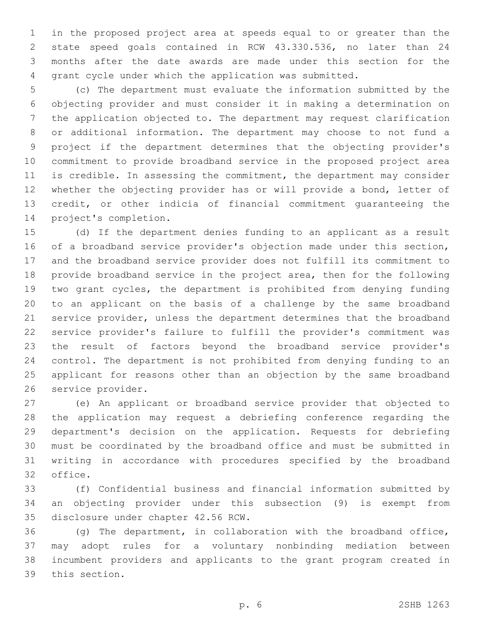in the proposed project area at speeds equal to or greater than the state speed goals contained in RCW 43.330.536, no later than 24 months after the date awards are made under this section for the grant cycle under which the application was submitted.

 (c) The department must evaluate the information submitted by the objecting provider and must consider it in making a determination on the application objected to. The department may request clarification or additional information. The department may choose to not fund a project if the department determines that the objecting provider's commitment to provide broadband service in the proposed project area is credible. In assessing the commitment, the department may consider whether the objecting provider has or will provide a bond, letter of credit, or other indicia of financial commitment guaranteeing the 14 project's completion.

 (d) If the department denies funding to an applicant as a result of a broadband service provider's objection made under this section, and the broadband service provider does not fulfill its commitment to provide broadband service in the project area, then for the following two grant cycles, the department is prohibited from denying funding to an applicant on the basis of a challenge by the same broadband service provider, unless the department determines that the broadband service provider's failure to fulfill the provider's commitment was the result of factors beyond the broadband service provider's control. The department is not prohibited from denying funding to an applicant for reasons other than an objection by the same broadband 26 service provider.

 (e) An applicant or broadband service provider that objected to the application may request a debriefing conference regarding the department's decision on the application. Requests for debriefing must be coordinated by the broadband office and must be submitted in writing in accordance with procedures specified by the broadband 32 office.

 (f) Confidential business and financial information submitted by an objecting provider under this subsection (9) is exempt from 35 disclosure under chapter 42.56 RCW.

 (g) The department, in collaboration with the broadband office, may adopt rules for a voluntary nonbinding mediation between incumbent providers and applicants to the grant program created in 39 this section.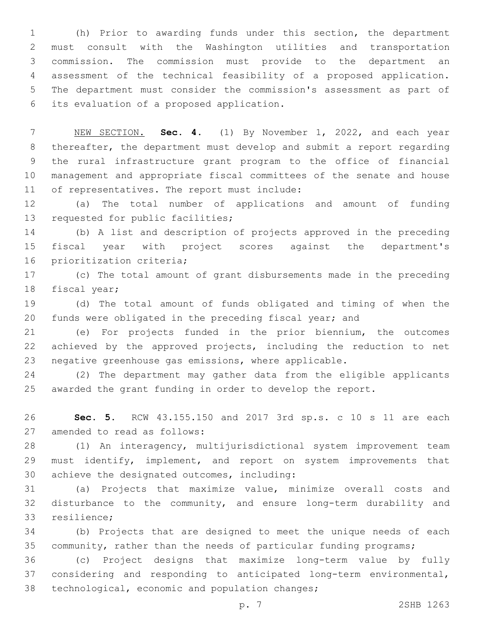(h) Prior to awarding funds under this section, the department must consult with the Washington utilities and transportation commission. The commission must provide to the department an assessment of the technical feasibility of a proposed application. The department must consider the commission's assessment as part of its evaluation of a proposed application.6

 NEW SECTION. **Sec. 4.** (1) By November 1, 2022, and each year thereafter, the department must develop and submit a report regarding the rural infrastructure grant program to the office of financial management and appropriate fiscal committees of the senate and house of representatives. The report must include:

 (a) The total number of applications and amount of funding 13 requested for public facilities;

 (b) A list and description of projects approved in the preceding fiscal year with project scores against the department's 16 prioritization criteria;

 (c) The total amount of grant disbursements made in the preceding 18 fiscal year;

 (d) The total amount of funds obligated and timing of when the funds were obligated in the preceding fiscal year; and

 (e) For projects funded in the prior biennium, the outcomes achieved by the approved projects, including the reduction to net negative greenhouse gas emissions, where applicable.

 (2) The department may gather data from the eligible applicants awarded the grant funding in order to develop the report.

 **Sec. 5.** RCW 43.155.150 and 2017 3rd sp.s. c 10 s 11 are each 27 amended to read as follows:

 (1) An interagency, multijurisdictional system improvement team 29 must identify, implement, and report on system improvements that 30 achieve the designated outcomes, including:

 (a) Projects that maximize value, minimize overall costs and disturbance to the community, and ensure long-term durability and 33 resilience;

 (b) Projects that are designed to meet the unique needs of each community, rather than the needs of particular funding programs;

 (c) Project designs that maximize long-term value by fully considering and responding to anticipated long-term environmental, 38 technological, economic and population changes;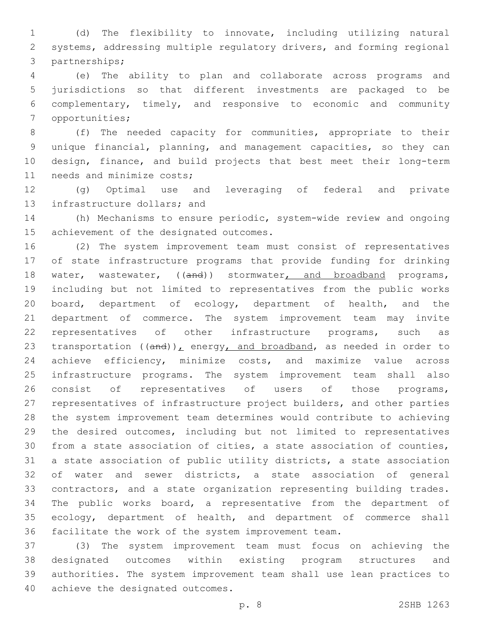(d) The flexibility to innovate, including utilizing natural systems, addressing multiple regulatory drivers, and forming regional 3 partnerships;

 (e) The ability to plan and collaborate across programs and jurisdictions so that different investments are packaged to be complementary, timely, and responsive to economic and community 7 opportunities;

 (f) The needed capacity for communities, appropriate to their unique financial, planning, and management capacities, so they can design, finance, and build projects that best meet their long-term 11 needs and minimize costs;

 (g) Optimal use and leveraging of federal and private 13 infrastructure dollars; and

 (h) Mechanisms to ensure periodic, system-wide review and ongoing 15 achievement of the designated outcomes.

 (2) The system improvement team must consist of representatives of state infrastructure programs that provide funding for drinking 18 water, wastewater, ((and)) stormwater, and broadband programs, including but not limited to representatives from the public works board, department of ecology, department of health, and the department of commerce. The system improvement team may invite 22 representatives of other infrastructure programs, such as 23 transportation  $((and))_L$  energy, and broadband, as needed in order to achieve efficiency, minimize costs, and maximize value across infrastructure programs. The system improvement team shall also 26 consist of representatives of users of those programs, representatives of infrastructure project builders, and other parties the system improvement team determines would contribute to achieving the desired outcomes, including but not limited to representatives from a state association of cities, a state association of counties, a state association of public utility districts, a state association of water and sewer districts, a state association of general contractors, and a state organization representing building trades. The public works board, a representative from the department of ecology, department of health, and department of commerce shall facilitate the work of the system improvement team.

 (3) The system improvement team must focus on achieving the designated outcomes within existing program structures and authorities. The system improvement team shall use lean practices to 40 achieve the designated outcomes.